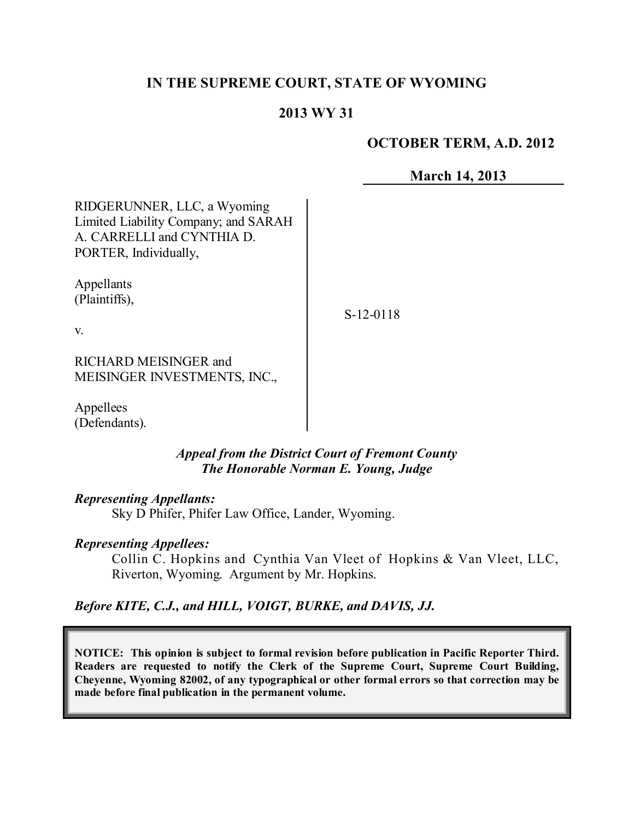# **IN THE SUPREME COURT, STATE OF WYOMING**

## **2013 WY 31**

### **OCTOBER TERM, A.D. 2012**

**March 14, 2013**

RIDGERUNNER, LLC, a Wyoming Limited Liability Company; and SARAH A. CARRELLI and CYNTHIA D. PORTER, Individually,

Appellants (Plaintiffs),

S-12-0118

v.

RICHARD MEISINGER and MEISINGER INVESTMENTS, INC.,

Appellees (Defendants).

### *Appeal from the District Court of Fremont County The Honorable Norman E. Young, Judge*

#### *Representing Appellants:*

Sky D Phifer, Phifer Law Office, Lander, Wyoming.

#### *Representing Appellees:*

Collin C. Hopkins and Cynthia Van Vleet of Hopkins & Van Vleet, LLC, Riverton, Wyoming. Argument by Mr. Hopkins.

## *Before KITE, C.J., and HILL, VOIGT, BURKE, and DAVIS, JJ.*

**NOTICE: This opinion is subject to formal revision before publication in Pacific Reporter Third. Readers are requested to notify the Clerk of the Supreme Court, Supreme Court Building, Cheyenne, Wyoming 82002, of any typographical or other formal errors so that correction may be made before final publication in the permanent volume.**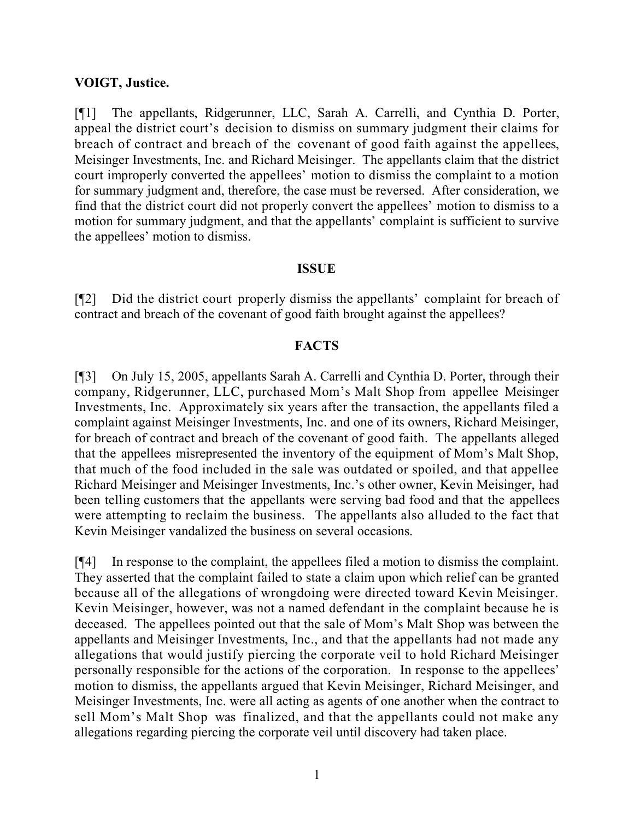#### **VOIGT, Justice.**

[¶1] The appellants, Ridgerunner, LLC, Sarah A. Carrelli, and Cynthia D. Porter, appeal the district court's decision to dismiss on summary judgment their claims for breach of contract and breach of the covenant of good faith against the appellees, Meisinger Investments, Inc. and Richard Meisinger. The appellants claim that the district court improperly converted the appellees' motion to dismiss the complaint to a motion for summary judgment and, therefore, the case must be reversed. After consideration, we find that the district court did not properly convert the appellees' motion to dismiss to a motion for summary judgment, and that the appellants' complaint is sufficient to survive the appellees' motion to dismiss.

#### **ISSUE**

[¶2] Did the district court properly dismiss the appellants' complaint for breach of contract and breach of the covenant of good faith brought against the appellees?

### **FACTS**

[¶3] On July 15, 2005, appellants Sarah A. Carrelli and Cynthia D. Porter, through their company, Ridgerunner, LLC, purchased Mom's Malt Shop from appellee Meisinger Investments, Inc. Approximately six years after the transaction, the appellants filed a complaint against Meisinger Investments, Inc. and one of its owners, Richard Meisinger, for breach of contract and breach of the covenant of good faith. The appellants alleged that the appellees misrepresented the inventory of the equipment of Mom's Malt Shop, that much of the food included in the sale was outdated or spoiled, and that appellee Richard Meisinger and Meisinger Investments, Inc.'s other owner, Kevin Meisinger, had been telling customers that the appellants were serving bad food and that the appellees were attempting to reclaim the business. The appellants also alluded to the fact that Kevin Meisinger vandalized the business on several occasions.

[¶4] In response to the complaint, the appellees filed a motion to dismiss the complaint. They asserted that the complaint failed to state a claim upon which relief can be granted because all of the allegations of wrongdoing were directed toward Kevin Meisinger. Kevin Meisinger, however, was not a named defendant in the complaint because he is deceased. The appellees pointed out that the sale of Mom's Malt Shop was between the appellants and Meisinger Investments, Inc., and that the appellants had not made any allegations that would justify piercing the corporate veil to hold Richard Meisinger personally responsible for the actions of the corporation. In response to the appellees' motion to dismiss, the appellants argued that Kevin Meisinger, Richard Meisinger, and Meisinger Investments, Inc. were all acting as agents of one another when the contract to sell Mom's Malt Shop was finalized, and that the appellants could not make any allegations regarding piercing the corporate veil until discovery had taken place.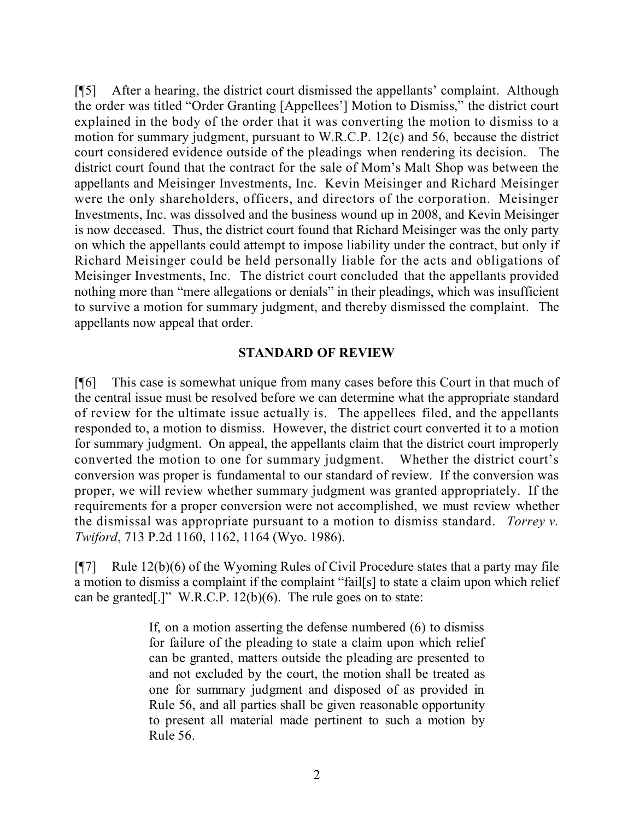[¶5] After a hearing, the district court dismissed the appellants' complaint. Although the order was titled "Order Granting [Appellees'] Motion to Dismiss," the district court explained in the body of the order that it was converting the motion to dismiss to a motion for summary judgment, pursuant to W.R.C.P. 12(c) and 56, because the district court considered evidence outside of the pleadings when rendering its decision. The district court found that the contract for the sale of Mom's Malt Shop was between the appellants and Meisinger Investments, Inc. Kevin Meisinger and Richard Meisinger were the only shareholders, officers, and directors of the corporation. Meisinger Investments, Inc. was dissolved and the business wound up in 2008, and Kevin Meisinger is now deceased. Thus, the district court found that Richard Meisinger was the only party on which the appellants could attempt to impose liability under the contract, but only if Richard Meisinger could be held personally liable for the acts and obligations of Meisinger Investments, Inc. The district court concluded that the appellants provided nothing more than "mere allegations or denials" in their pleadings, which was insufficient to survive a motion for summary judgment, and thereby dismissed the complaint. The appellants now appeal that order.

### **STANDARD OF REVIEW**

[¶6] This case is somewhat unique from many cases before this Court in that much of the central issue must be resolved before we can determine what the appropriate standard of review for the ultimate issue actually is. The appellees filed, and the appellants responded to, a motion to dismiss. However, the district court converted it to a motion for summary judgment. On appeal, the appellants claim that the district court improperly converted the motion to one for summary judgment. Whether the district court's conversion was proper is fundamental to our standard of review. If the conversion was proper, we will review whether summary judgment was granted appropriately. If the requirements for a proper conversion were not accomplished, we must review whether the dismissal was appropriate pursuant to a motion to dismiss standard. *Torrey v. Twiford*, 713 P.2d 1160, 1162, 1164 (Wyo. 1986).

 $[$ [[7] Rule 12(b)(6) of the Wyoming Rules of Civil Procedure states that a party may file a motion to dismiss a complaint if the complaint "fail[s] to state a claim upon which relief can be granted[.]" W.R.C.P. 12(b)(6). The rule goes on to state:

> If, on a motion asserting the defense numbered (6) to dismiss for failure of the pleading to state a claim upon which relief can be granted, matters outside the pleading are presented to and not excluded by the court, the motion shall be treated as one for summary judgment and disposed of as provided in Rule 56, and all parties shall be given reasonable opportunity to present all material made pertinent to such a motion by Rule 56.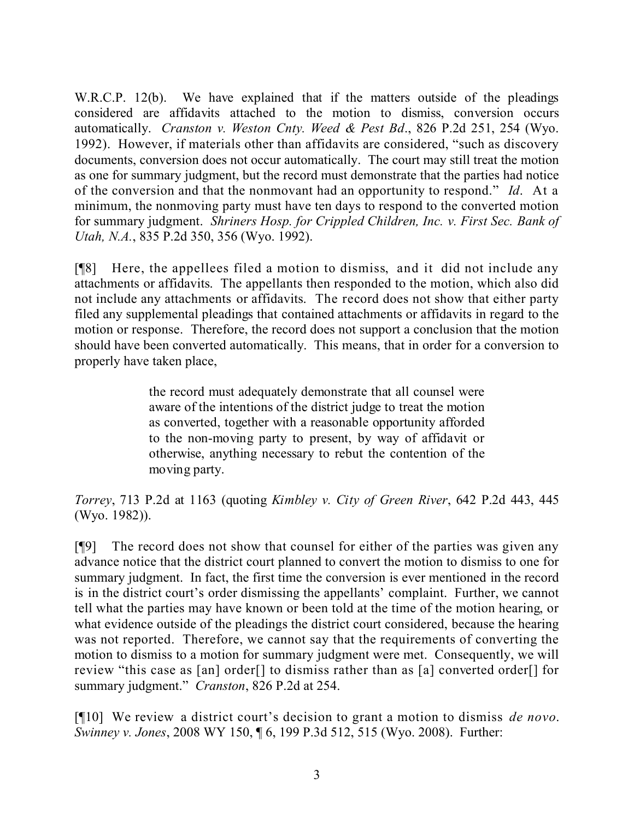W.R.C.P. 12(b). We have explained that if the matters outside of the pleadings considered are affidavits attached to the motion to dismiss, conversion occurs automatically. *Cranston v. Weston Cnty. Weed & Pest Bd*., 826 P.2d 251, 254 (Wyo. 1992). However, if materials other than affidavits are considered, "such as discovery documents, conversion does not occur automatically. The court may still treat the motion as one for summary judgment, but the record must demonstrate that the parties had notice of the conversion and that the nonmovant had an opportunity to respond." *Id*. At a minimum, the nonmoving party must have ten days to respond to the converted motion for summary judgment. *Shriners Hosp. for Crippled Children, Inc. v. First Sec. Bank of Utah, N.A.*, 835 P.2d 350, 356 (Wyo. 1992).

[¶8] Here, the appellees filed a motion to dismiss, and it did not include any attachments or affidavits. The appellants then responded to the motion, which also did not include any attachments or affidavits. The record does not show that either party filed any supplemental pleadings that contained attachments or affidavits in regard to the motion or response. Therefore, the record does not support a conclusion that the motion should have been converted automatically. This means, that in order for a conversion to properly have taken place,

> the record must adequately demonstrate that all counsel were aware of the intentions of the district judge to treat the motion as converted, together with a reasonable opportunity afforded to the non-moving party to present, by way of affidavit or otherwise, anything necessary to rebut the contention of the moving party.

*Torrey*, 713 P.2d at 1163 (quoting *Kimbley v. City of Green River*, 642 P.2d 443, 445 (Wyo. 1982)).

[¶9] The record does not show that counsel for either of the parties was given any advance notice that the district court planned to convert the motion to dismiss to one for summary judgment. In fact, the first time the conversion is ever mentioned in the record is in the district court's order dismissing the appellants' complaint. Further, we cannot tell what the parties may have known or been told at the time of the motion hearing, or what evidence outside of the pleadings the district court considered, because the hearing was not reported. Therefore, we cannot say that the requirements of converting the motion to dismiss to a motion for summary judgment were met. Consequently, we will review "this case as [an] order[] to dismiss rather than as [a] converted order[] for summary judgment." *Cranston*, 826 P.2d at 254.

[¶10] We review a district court's decision to grant a motion to dismiss *de novo*. *Swinney v. Jones*, 2008 WY 150, ¶ 6, 199 P.3d 512, 515 (Wyo. 2008). Further: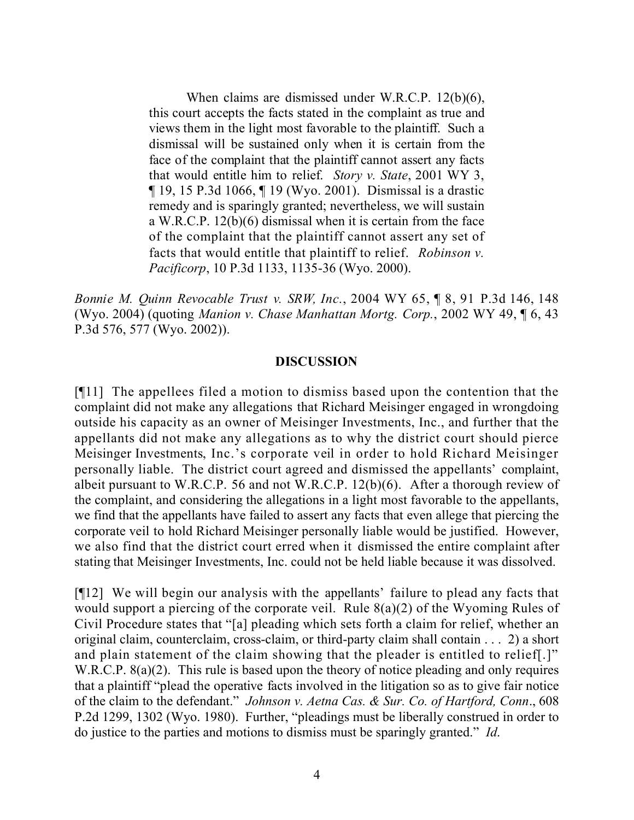When claims are dismissed under W.R.C.P. 12(b)(6), this court accepts the facts stated in the complaint as true and views them in the light most favorable to the plaintiff. Such a dismissal will be sustained only when it is certain from the face of the complaint that the plaintiff cannot assert any facts that would entitle him to relief. *Story v. State*, 2001 WY 3, ¶ 19, 15 P.3d 1066, ¶ 19 (Wyo. 2001). Dismissal is a drastic remedy and is sparingly granted; nevertheless, we will sustain a W.R.C.P. 12(b)(6) dismissal when it is certain from the face of the complaint that the plaintiff cannot assert any set of facts that would entitle that plaintiff to relief. *Robinson v. Pacificorp*, 10 P.3d 1133, 1135-36 (Wyo. 2000).

*Bonnie M. Quinn Revocable Trust v. SRW, Inc.*, 2004 WY 65, ¶ 8, 91 P.3d 146, 148 (Wyo. 2004) (quoting *Manion v. Chase Manhattan Mortg. Corp.*, 2002 WY 49, ¶ 6, 43 P.3d 576, 577 (Wyo. 2002)).

#### **DISCUSSION**

[¶11] The appellees filed a motion to dismiss based upon the contention that the complaint did not make any allegations that Richard Meisinger engaged in wrongdoing outside his capacity as an owner of Meisinger Investments, Inc., and further that the appellants did not make any allegations as to why the district court should pierce Meisinger Investments, Inc.'s corporate veil in order to hold Richard Meisinger personally liable. The district court agreed and dismissed the appellants' complaint, albeit pursuant to W.R.C.P. 56 and not W.R.C.P. 12(b)(6). After a thorough review of the complaint, and considering the allegations in a light most favorable to the appellants, we find that the appellants have failed to assert any facts that even allege that piercing the corporate veil to hold Richard Meisinger personally liable would be justified. However, we also find that the district court erred when it dismissed the entire complaint after stating that Meisinger Investments, Inc. could not be held liable because it was dissolved.

[¶12] We will begin our analysis with the appellants' failure to plead any facts that would support a piercing of the corporate veil. Rule 8(a)(2) of the Wyoming Rules of Civil Procedure states that "[a] pleading which sets forth a claim for relief, whether an original claim, counterclaim, cross-claim, or third-party claim shall contain . . . 2) a short and plain statement of the claim showing that the pleader is entitled to relief[.]" W.R.C.P. 8(a)(2). This rule is based upon the theory of notice pleading and only requires that a plaintiff "plead the operative facts involved in the litigation so as to give fair notice of the claim to the defendant." *Johnson v. Aetna Cas. & Sur. Co. of Hartford, Conn*., 608 P.2d 1299, 1302 (Wyo. 1980). Further, "pleadings must be liberally construed in order to do justice to the parties and motions to dismiss must be sparingly granted." *Id*.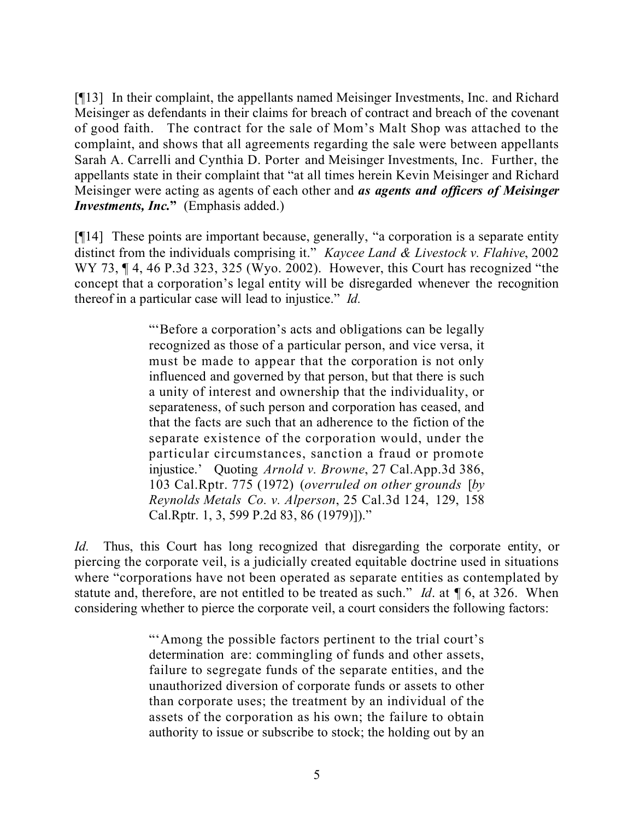[¶13] In their complaint, the appellants named Meisinger Investments, Inc. and Richard Meisinger as defendants in their claims for breach of contract and breach of the covenant of good faith. The contract for the sale of Mom's Malt Shop was attached to the complaint, and shows that all agreements regarding the sale were between appellants Sarah A. Carrelli and Cynthia D. Porter and Meisinger Investments, Inc. Further, the appellants state in their complaint that "at all times herein Kevin Meisinger and Richard Meisinger were acting as agents of each other and *as agents and officers of Meisinger Investments, Inc.***"** (Emphasis added.)

[¶14] These points are important because, generally, "a corporation is a separate entity distinct from the individuals comprising it." *Kaycee Land & Livestock v. Flahive*, 2002 WY 73,  $\P$  4, 46 P.3d 323, 325 (Wyo. 2002). However, this Court has recognized "the concept that a corporation's legal entity will be disregarded whenever the recognition thereof in a particular case will lead to injustice." *Id.*

> "'Before a corporation's acts and obligations can be legally recognized as those of a particular person, and vice versa, it must be made to appear that the corporation is not only influenced and governed by that person, but that there is such a unity of interest and ownership that the individuality, or separateness, of such person and corporation has ceased, and that the facts are such that an adherence to the fiction of the separate existence of the corporation would, under the particular circumstances, sanction a fraud or promote injustice.' Quoting *Arnold v. Browne*, 27 Cal.App.3d 386, 103 Cal.Rptr. 775 (1972) (*overruled on other grounds* [*by Reynolds Metals Co. v. Alperson*, 25 Cal.3d 124, 129, 158 Cal.Rptr. 1, 3, 599 P.2d 83, 86 (1979)])."

*Id.* Thus, this Court has long recognized that disregarding the corporate entity, or piercing the corporate veil, is a judicially created equitable doctrine used in situations where "corporations have not been operated as separate entities as contemplated by statute and, therefore, are not entitled to be treated as such." *Id*. at ¶ 6, at 326. When considering whether to pierce the corporate veil, a court considers the following factors:

> "'Among the possible factors pertinent to the trial court's determination are: commingling of funds and other assets, failure to segregate funds of the separate entities, and the unauthorized diversion of corporate funds or assets to other than corporate uses; the treatment by an individual of the assets of the corporation as his own; the failure to obtain authority to issue or subscribe to stock; the holding out by an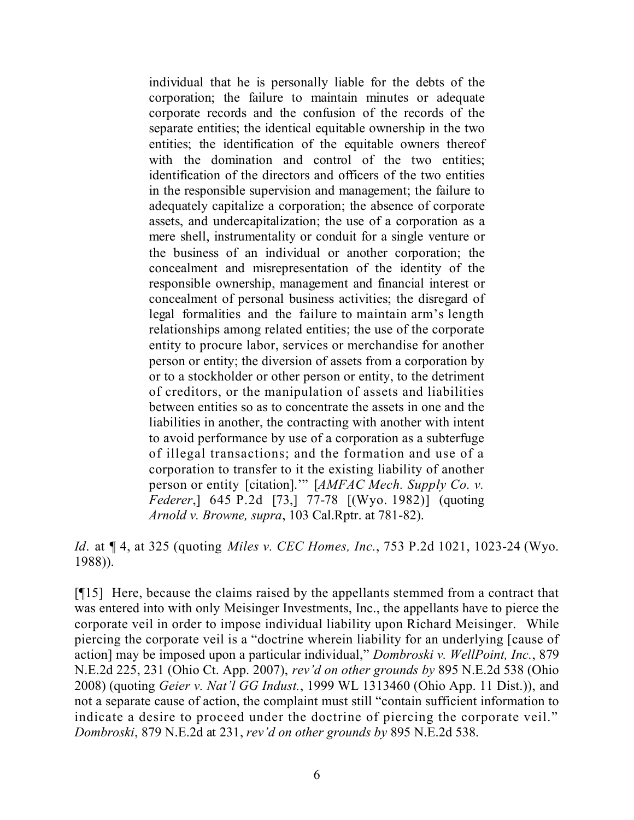individual that he is personally liable for the debts of the corporation; the failure to maintain minutes or adequate corporate records and the confusion of the records of the separate entities; the identical equitable ownership in the two entities; the identification of the equitable owners thereof with the domination and control of the two entities; identification of the directors and officers of the two entities in the responsible supervision and management; the failure to adequately capitalize a corporation; the absence of corporate assets, and undercapitalization; the use of a corporation as a mere shell, instrumentality or conduit for a single venture or the business of an individual or another corporation; the concealment and misrepresentation of the identity of the responsible ownership, management and financial interest or concealment of personal business activities; the disregard of legal formalities and the failure to maintain arm's length relationships among related entities; the use of the corporate entity to procure labor, services or merchandise for another person or entity; the diversion of assets from a corporation by or to a stockholder or other person or entity, to the detriment of creditors, or the manipulation of assets and liabilities between entities so as to concentrate the assets in one and the liabilities in another, the contracting with another with intent to avoid performance by use of a corporation as a subterfuge of illegal transactions; and the formation and use of a corporation to transfer to it the existing liability of another person or entity [citation].'" [*AMFAC Mech. Supply Co. v. Federer*,] 645 P.2d [73,] 77-78 [(Wyo. 1982)] (quoting *Arnold v. Browne, supra*, 103 Cal.Rptr. at 781-82).

*Id*. at ¶ 4, at 325 (quoting *Miles v. CEC Homes, Inc.*, 753 P.2d 1021, 1023-24 (Wyo. 1988)).

[¶15] Here, because the claims raised by the appellants stemmed from a contract that was entered into with only Meisinger Investments, Inc., the appellants have to pierce the corporate veil in order to impose individual liability upon Richard Meisinger. While piercing the corporate veil is a "doctrine wherein liability for an underlying [cause of action] may be imposed upon a particular individual," *Dombroski v. WellPoint, Inc.*, 879 N.E.2d 225, 231 (Ohio Ct. App. 2007), *rev'd on other grounds by* 895 N.E.2d 538 (Ohio 2008) (quoting *Geier v. Nat'l GG Indust.*, 1999 WL 1313460 (Ohio App. 11 Dist.)), and not a separate cause of action, the complaint must still "contain sufficient information to indicate a desire to proceed under the doctrine of piercing the corporate veil." *Dombroski*, 879 N.E.2d at 231, *rev'd on other grounds by* 895 N.E.2d 538.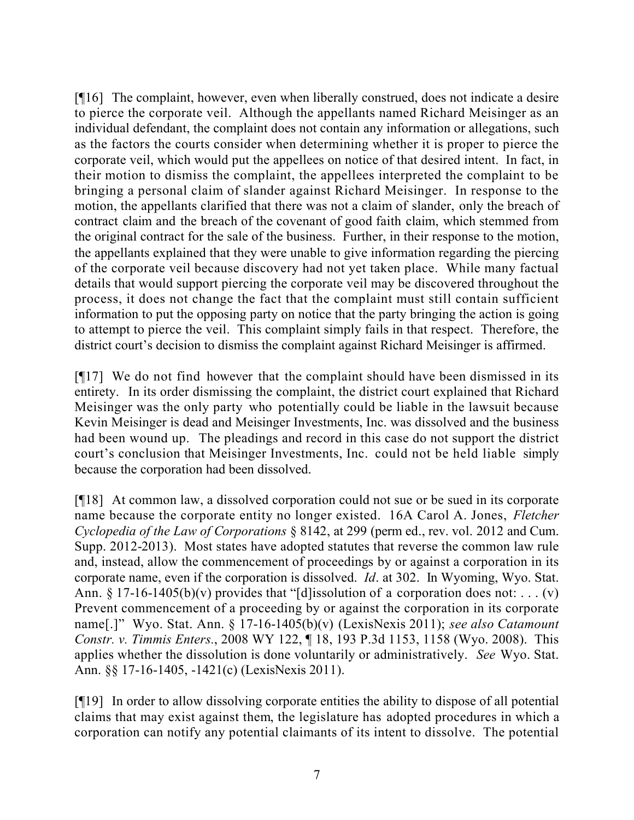[¶16] The complaint, however, even when liberally construed, does not indicate a desire to pierce the corporate veil. Although the appellants named Richard Meisinger as an individual defendant, the complaint does not contain any information or allegations, such as the factors the courts consider when determining whether it is proper to pierce the corporate veil, which would put the appellees on notice of that desired intent. In fact, in their motion to dismiss the complaint, the appellees interpreted the complaint to be bringing a personal claim of slander against Richard Meisinger. In response to the motion, the appellants clarified that there was not a claim of slander, only the breach of contract claim and the breach of the covenant of good faith claim, which stemmed from the original contract for the sale of the business. Further, in their response to the motion, the appellants explained that they were unable to give information regarding the piercing of the corporate veil because discovery had not yet taken place. While many factual details that would support piercing the corporate veil may be discovered throughout the process, it does not change the fact that the complaint must still contain sufficient information to put the opposing party on notice that the party bringing the action is going to attempt to pierce the veil. This complaint simply fails in that respect. Therefore, the district court's decision to dismiss the complaint against Richard Meisinger is affirmed.

[¶17] We do not find however that the complaint should have been dismissed in its entirety. In its order dismissing the complaint, the district court explained that Richard Meisinger was the only party who potentially could be liable in the lawsuit because Kevin Meisinger is dead and Meisinger Investments, Inc. was dissolved and the business had been wound up. The pleadings and record in this case do not support the district court's conclusion that Meisinger Investments, Inc. could not be held liable simply because the corporation had been dissolved.

[¶18] At common law, a dissolved corporation could not sue or be sued in its corporate name because the corporate entity no longer existed. 16A Carol A. Jones, *Fletcher Cyclopedia of the Law of Corporations* § 8142, at 299 (perm ed., rev. vol. 2012 and Cum. Supp. 2012-2013). Most states have adopted statutes that reverse the common law rule and, instead, allow the commencement of proceedings by or against a corporation in its corporate name, even if the corporation is dissolved. *Id*. at 302. In Wyoming, Wyo. Stat. Ann.  $\S 17$ -16-1405(b)(v) provides that "[d]issolution of a corporation does not: ... (v) Prevent commencement of a proceeding by or against the corporation in its corporate name[.]" Wyo. Stat. Ann. § 17-16-1405(b)(v) (LexisNexis 2011); *see also Catamount Constr. v. Timmis Enters.*, 2008 WY 122, ¶ 18, 193 P.3d 1153, 1158 (Wyo. 2008). This applies whether the dissolution is done voluntarily or administratively. *See* Wyo. Stat. Ann. §§ 17-16-1405, -1421(c) (LexisNexis 2011).

[¶19] In order to allow dissolving corporate entities the ability to dispose of all potential claims that may exist against them, the legislature has adopted procedures in which a corporation can notify any potential claimants of its intent to dissolve. The potential